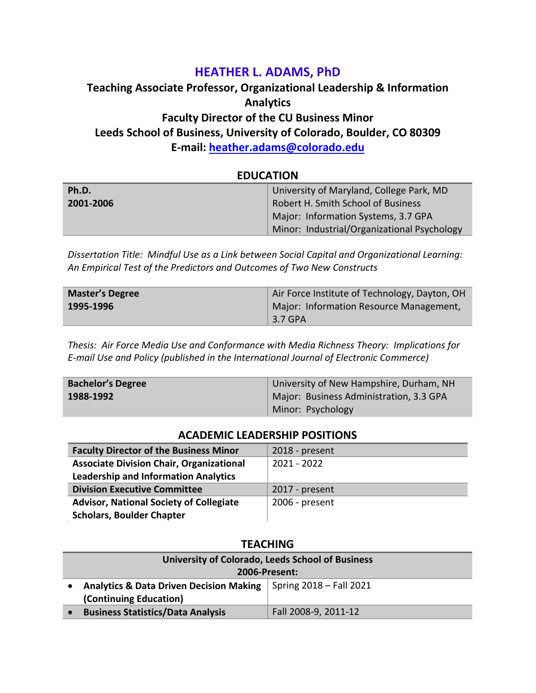# **HEATHER L. ADAMS, PhD**

# **Teaching Associate Professor, Organizational Leadership & Information Analytics Faculty Director of the CU Business Minor Leeds School of Business, University of Colorado, Boulder, CO 80309 E-mail: [heather.adams@colorado.edu](mailto:heather.adams@colorado.edu)**

| EDUCATION |                                             |
|-----------|---------------------------------------------|
| Ph.D.     | University of Maryland, College Park, MD    |
| 2001-2006 | Robert H. Smith School of Business          |
|           | Major: Information Systems, 3.7 GPA         |
|           | Minor: Industrial/Organizational Psychology |

**EDUCATION**

*Dissertation Title: Mindful Use as a Link between Social Capital and Organizational Learning: An Empirical Test of the Predictors and Outcomes of Two New Constructs*

| <b>Master's Degree</b> | Air Force Institute of Technology, Dayton, OH |  |
|------------------------|-----------------------------------------------|--|
| 1995-1996              | Major: Information Resource Management,       |  |
|                        | 3.7 GPA                                       |  |

*Thesis: Air Force Media Use and Conformance with Media Richness Theory: Implications for E-mail Use and Policy (published in the International Journal of Electronic Commerce)*

| <b>Bachelor's Degree</b> | University of New Hampshire, Durham, NH |  |
|--------------------------|-----------------------------------------|--|
| 1988-1992                | Major: Business Administration, 3.3 GPA |  |
|                          | Minor: Psychology                       |  |

#### **ACADEMIC LEADERSHIP POSITIONS**

| <b>Faculty Director of the Business Minor</b>   | 2018 - present |
|-------------------------------------------------|----------------|
| <b>Associate Division Chair, Organizational</b> | 2021 - 2022    |
| <b>Leadership and Information Analytics</b>     |                |
| <b>Division Executive Committee</b>             | 2017 - present |
| <b>Advisor, National Society of Collegiate</b>  | 2006 - present |
| <b>Scholars, Boulder Chapter</b>                |                |

### **TEACHING**

| University of Colorado, Leeds School of Business   |                         |  |
|----------------------------------------------------|-------------------------|--|
| <b>2006-Present:</b>                               |                         |  |
| <b>Analytics &amp; Data Driven Decision Making</b> | Spring 2018 – Fall 2021 |  |
| (Continuing Education)                             |                         |  |
| <b>Business Statistics/Data Analysis</b>           | Fall 2008-9, 2011-12    |  |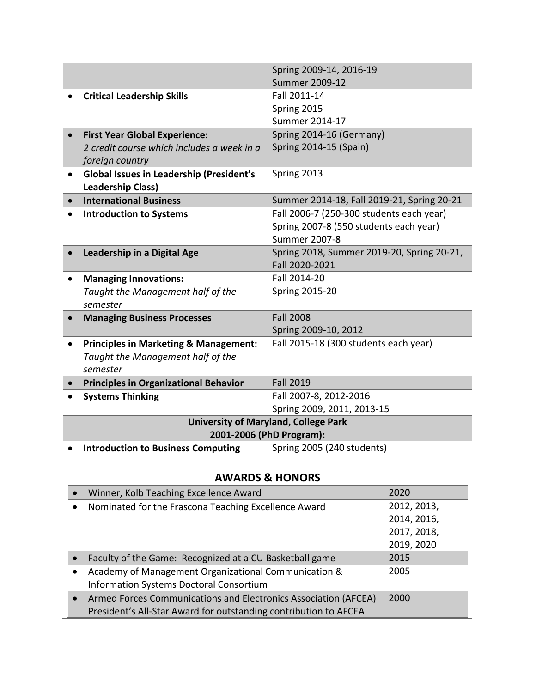|           |                                                  | Spring 2009-14, 2016-19                     |
|-----------|--------------------------------------------------|---------------------------------------------|
|           |                                                  | Summer 2009-12                              |
|           | <b>Critical Leadership Skills</b>                | Fall 2011-14                                |
|           |                                                  | Spring 2015                                 |
|           |                                                  | Summer 2014-17                              |
|           | <b>First Year Global Experience:</b>             | Spring 2014-16 (Germany)                    |
|           | 2 credit course which includes a week in a       | Spring 2014-15 (Spain)                      |
|           | foreign country                                  |                                             |
| $\bullet$ | <b>Global Issues in Leadership (President's</b>  | Spring 2013                                 |
|           | <b>Leadership Class)</b>                         |                                             |
| $\bullet$ | <b>International Business</b>                    | Summer 2014-18, Fall 2019-21, Spring 20-21  |
|           | <b>Introduction to Systems</b>                   | Fall 2006-7 (250-300 students each year)    |
|           |                                                  | Spring 2007-8 (550 students each year)      |
|           |                                                  | <b>Summer 2007-8</b>                        |
|           | Leadership in a Digital Age                      | Spring 2018, Summer 2019-20, Spring 20-21,  |
|           |                                                  | Fall 2020-2021                              |
|           | <b>Managing Innovations:</b>                     | Fall 2014-20                                |
|           | Taught the Management half of the                | <b>Spring 2015-20</b>                       |
|           | semester                                         |                                             |
|           | <b>Managing Business Processes</b>               | <b>Fall 2008</b>                            |
|           |                                                  | Spring 2009-10, 2012                        |
|           | <b>Principles in Marketing &amp; Management:</b> | Fall 2015-18 (300 students each year)       |
|           | Taught the Management half of the                |                                             |
|           | semester                                         |                                             |
|           | <b>Principles in Organizational Behavior</b>     | <b>Fall 2019</b>                            |
|           | <b>Systems Thinking</b>                          | Fall 2007-8, 2012-2016                      |
|           |                                                  | Spring 2009, 2011, 2013-15                  |
|           |                                                  | <b>University of Maryland, College Park</b> |
|           | 2001-2006 (PhD Program):                         |                                             |
|           | <b>Introduction to Business Computing</b>        | Spring 2005 (240 students)                  |

## **AWARDS & HONORS**

| Winner, Kolb Teaching Excellence Award<br>$\bullet$              | 2020        |
|------------------------------------------------------------------|-------------|
| Nominated for the Frascona Teaching Excellence Award             | 2012, 2013, |
|                                                                  | 2014, 2016, |
|                                                                  | 2017, 2018, |
|                                                                  | 2019, 2020  |
| Faculty of the Game: Recognized at a CU Basketball game          | 2015        |
| Academy of Management Organizational Communication &             | 2005        |
| Information Systems Doctoral Consortium                          |             |
| Armed Forces Communications and Electronics Association (AFCEA)  | 2000        |
| President's All-Star Award for outstanding contribution to AFCEA |             |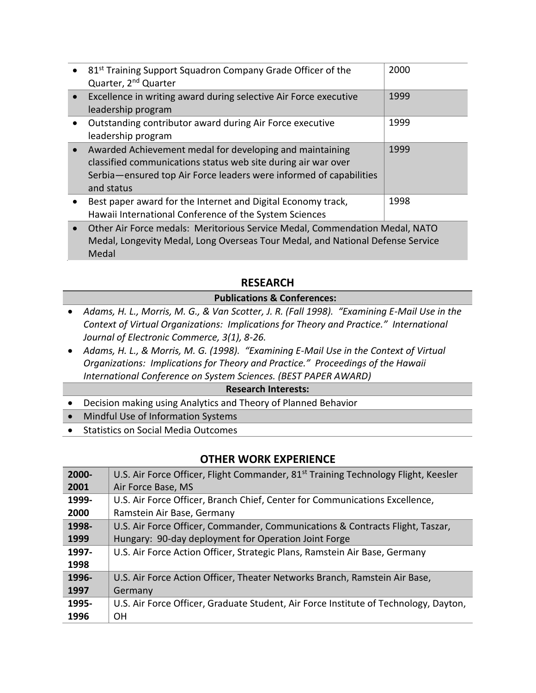| • 81 <sup>st</sup> Training Support Squadron Company Grade Officer of the<br>Quarter, 2 <sup>nd</sup> Quarter                                                                                                 | 2000 |
|---------------------------------------------------------------------------------------------------------------------------------------------------------------------------------------------------------------|------|
| Excellence in writing award during selective Air Force executive<br>leadership program                                                                                                                        | 1999 |
| Outstanding contributor award during Air Force executive<br>leadership program                                                                                                                                | 1999 |
| Awarded Achievement medal for developing and maintaining<br>classified communications status web site during air war over<br>Serbia-ensured top Air Force leaders were informed of capabilities<br>and status | 1999 |
| Best paper award for the Internet and Digital Economy track,<br>Hawaii International Conference of the System Sciences                                                                                        | 1998 |
|                                                                                                                                                                                                               |      |

• Other Air Force medals: Meritorious Service Medal, Commendation Medal, NATO Medal, Longevity Medal, Long Overseas Tour Medal, and National Defense Service Medal

### **RESEARCH**

### **Publications & Conferences:**

- *Adams, H. L., Morris, M. G., & Van Scotter, J. R. (Fall 1998). "Examining E-Mail Use in the Context of Virtual Organizations: Implications for Theory and Practice." International Journal of Electronic Commerce, 3(1), 8-26.*
- *Adams, H. L., & Morris, M. G. (1998). "Examining E-Mail Use in the Context of Virtual Organizations: Implications for Theory and Practice." Proceedings of the Hawaii International Conference on System Sciences. (BEST PAPER AWARD)*

#### **Research Interests:**

- Decision making using Analytics and Theory of Planned Behavior
- Mindful Use of Information Systems
- Statistics on Social Media Outcomes

### **OTHER WORK EXPERIENCE**

| $2000 -$ | U.S. Air Force Officer, Flight Commander, 81 <sup>st</sup> Training Technology Flight, Keesler |
|----------|------------------------------------------------------------------------------------------------|
| 2001     | Air Force Base, MS                                                                             |
| 1999-    | U.S. Air Force Officer, Branch Chief, Center for Communications Excellence,                    |
| 2000     | Ramstein Air Base, Germany                                                                     |
| 1998-    | U.S. Air Force Officer, Commander, Communications & Contracts Flight, Taszar,                  |
| 1999     | Hungary: 90-day deployment for Operation Joint Forge                                           |
| 1997-    | U.S. Air Force Action Officer, Strategic Plans, Ramstein Air Base, Germany                     |
| 1998     |                                                                                                |
| 1996-    | U.S. Air Force Action Officer, Theater Networks Branch, Ramstein Air Base,                     |
| 1997     | Germany                                                                                        |
| 1995-    | U.S. Air Force Officer, Graduate Student, Air Force Institute of Technology, Dayton,           |
| 1996     | <b>OH</b>                                                                                      |